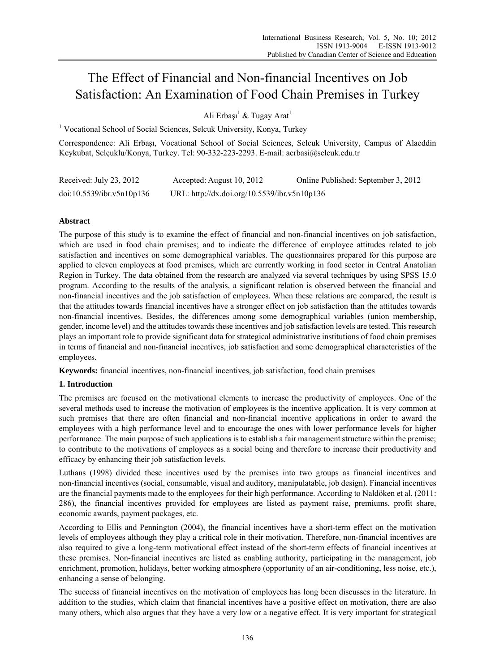# The Effect of Financial and Non-financial Incentives on Job Satisfaction: An Examination of Food Chain Premises in Turkey

Ali Erbaşı<sup>1</sup> & Tugay Arat<sup>1</sup>

<sup>1</sup> Vocational School of Social Sciences, Selcuk University, Konya, Turkey

Correspondence: Ali Erbaşı, Vocational School of Social Sciences, Selcuk University, Campus of Alaeddin Keykubat, Selçuklu/Konya, Turkey. Tel: 90-332-223-2293. E-mail: aerbasi@selcuk.edu.tr

| Received: July 23, 2012   | Accepted: August 10, 2012                    | Online Published: September 3, 2012 |
|---------------------------|----------------------------------------------|-------------------------------------|
| doi:10.5539/ibr.v5n10p136 | URL: http://dx.doi.org/10.5539/ibr.v5n10p136 |                                     |

## **Abstract**

The purpose of this study is to examine the effect of financial and non-financial incentives on job satisfaction, which are used in food chain premises; and to indicate the difference of employee attitudes related to job satisfaction and incentives on some demographical variables. The questionnaires prepared for this purpose are applied to eleven employees at food premises, which are currently working in food sector in Central Anatolian Region in Turkey. The data obtained from the research are analyzed via several techniques by using SPSS 15.0 program. According to the results of the analysis, a significant relation is observed between the financial and non-financial incentives and the job satisfaction of employees. When these relations are compared, the result is that the attitudes towards financial incentives have a stronger effect on job satisfaction than the attitudes towards non-financial incentives. Besides, the differences among some demographical variables (union membership, gender, income level) and the attitudes towards these incentives and job satisfaction levels are tested. This research plays an important role to provide significant data for strategical administrative institutions of food chain premises in terms of financial and non-financial incentives, job satisfaction and some demographical characteristics of the employees.

**Keywords:** financial incentives, non-financial incentives, job satisfaction, food chain premises

## **1. Introduction**

The premises are focused on the motivational elements to increase the productivity of employees. One of the several methods used to increase the motivation of employees is the incentive application. It is very common at such premises that there are often financial and non-financial incentive applications in order to award the employees with a high performance level and to encourage the ones with lower performance levels for higher performance. The main purpose of such applications is to establish a fair management structure within the premise; to contribute to the motivations of employees as a social being and therefore to increase their productivity and efficacy by enhancing their job satisfaction levels.

Luthans (1998) divided these incentives used by the premises into two groups as financial incentives and non-financial incentives (social, consumable, visual and auditory, manipulatable, job design). Financial incentives are the financial payments made to the employees for their high performance. According to Naldöken et al. (2011: 286), the financial incentives provided for employees are listed as payment raise, premiums, profit share, economic awards, payment packages, etc.

According to Ellis and Pennington (2004), the financial incentives have a short-term effect on the motivation levels of employees although they play a critical role in their motivation. Therefore, non-financial incentives are also required to give a long-term motivational effect instead of the short-term effects of financial incentives at these premises. Non-financial incentives are listed as enabling authority, participating in the management, job enrichment, promotion, holidays, better working atmosphere (opportunity of an air-conditioning, less noise, etc.), enhancing a sense of belonging.

The success of financial incentives on the motivation of employees has long been discusses in the literature. In addition to the studies, which claim that financial incentives have a positive effect on motivation, there are also many others, which also argues that they have a very low or a negative effect. It is very important for strategical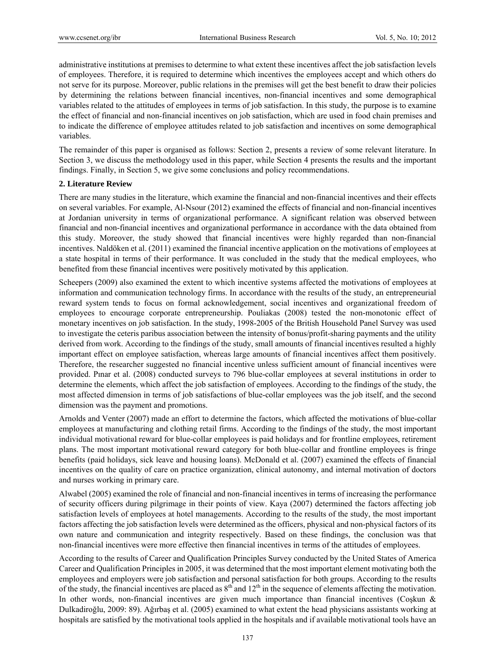administrative institutions at premises to determine to what extent these incentives affect the job satisfaction levels of employees. Therefore, it is required to determine which incentives the employees accept and which others do not serve for its purpose. Moreover, public relations in the premises will get the best benefit to draw their policies by determining the relations between financial incentives, non-financial incentives and some demographical variables related to the attitudes of employees in terms of job satisfaction. In this study, the purpose is to examine the effect of financial and non-financial incentives on job satisfaction, which are used in food chain premises and to indicate the difference of employee attitudes related to job satisfaction and incentives on some demographical variables.

The remainder of this paper is organised as follows: Section 2, presents a review of some relevant literature. In Section 3, we discuss the methodology used in this paper, while Section 4 presents the results and the important findings. Finally, in Section 5, we give some conclusions and policy recommendations.

### **2. Literature Review**

There are many studies in the literature, which examine the financial and non-financial incentives and their effects on several variables. For example, Al-Nsour (2012) examined the effects of financial and non-financial incentives at Jordanian university in terms of organizational performance. A significant relation was observed between financial and non-financial incentives and organizational performance in accordance with the data obtained from this study. Moreover, the study showed that financial incentives were highly regarded than non-financial incentives. Naldöken et al. (2011) examined the financial incentive application on the motivations of employees at a state hospital in terms of their performance. It was concluded in the study that the medical employees, who benefited from these financial incentives were positively motivated by this application.

Scheepers (2009) also examined the extent to which incentive systems affected the motivations of employees at information and communication technology firms. In accordance with the results of the study, an entrepreneurial reward system tends to focus on formal acknowledgement, social incentives and organizational freedom of employees to encourage corporate entrepreneurship. Pouliakas (2008) tested the non-monotonic effect of monetary incentives on job satisfaction. In the study, 1998-2005 of the British Household Panel Survey was used to investigate the ceteris paribus association between the intensity of bonus/profit-sharing payments and the utility derived from work. According to the findings of the study, small amounts of financial incentives resulted a highly important effect on employee satisfaction, whereas large amounts of financial incentives affect them positively. Therefore, the researcher suggested no financial incentive unless sufficient amount of financial incentives were provided. Pınar et al. (2008) conducted surveys to 796 blue-collar employees at several institutions in order to determine the elements, which affect the job satisfaction of employees. According to the findings of the study, the most affected dimension in terms of job satisfactions of blue-collar employees was the job itself, and the second dimension was the payment and promotions.

Arnolds and Venter (2007) made an effort to determine the factors, which affected the motivations of blue-collar employees at manufacturing and clothing retail firms. According to the findings of the study, the most important individual motivational reward for blue-collar employees is paid holidays and for frontline employees, retirement plans. The most important motivational reward category for both blue-collar and frontline employees is fringe benefits (paid holidays, sick leave and housing loans). McDonald et al. (2007) examined the effects of financial incentives on the quality of care on practice organization, clinical autonomy, and internal motivation of doctors and nurses working in primary care.

Alwabel (2005) examined the role of financial and non-financial incentives in terms of increasing the performance of security officers during pilgrimage in their points of view. Kaya (2007) determined the factors affecting job satisfaction levels of employees at hotel managements. According to the results of the study, the most important factors affecting the job satisfaction levels were determined as the officers, physical and non-physical factors of its own nature and communication and integrity respectively. Based on these findings, the conclusion was that non-financial incentives were more effective then financial incentives in terms of the attitudes of employees.

According to the results of Career and Qualification Principles Survey conducted by the United States of America Career and Qualification Principles in 2005, it was determined that the most important element motivating both the employees and employers were job satisfaction and personal satisfaction for both groups. According to the results of the study, the financial incentives are placed as  $8<sup>th</sup>$  and  $12<sup>th</sup>$  in the sequence of elements affecting the motivation. In other words, non-financial incentives are given much importance than financial incentives (Coşkun & Dulkadiroğlu, 2009: 89). Ağırbaş et al. (2005) examined to what extent the head physicians assistants working at hospitals are satisfied by the motivational tools applied in the hospitals and if available motivational tools have an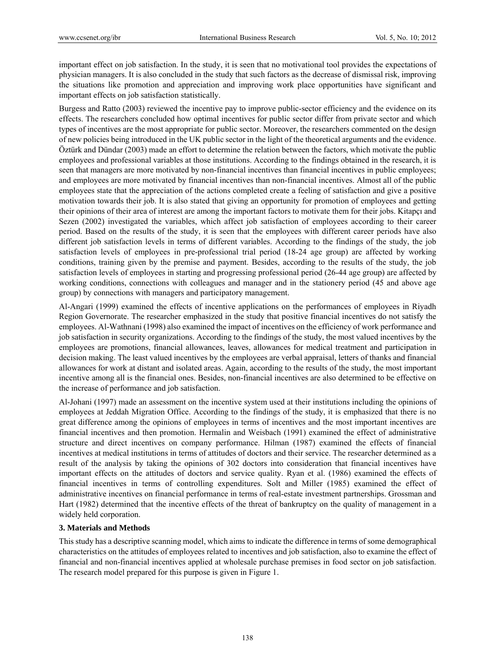important effect on job satisfaction. In the study, it is seen that no motivational tool provides the expectations of physician managers. It is also concluded in the study that such factors as the decrease of dismissal risk, improving the situations like promotion and appreciation and improving work place opportunities have significant and important effects on job satisfaction statistically.

Burgess and Ratto (2003) reviewed the incentive pay to improve public-sector efficiency and the evidence on its effects. The researchers concluded how optimal incentives for public sector differ from private sector and which types of incentives are the most appropriate for public sector. Moreover, the researchers commented on the design of new policies being introduced in the UK public sector in the light of the theoretical arguments and the evidence. Öztürk and Dündar (2003) made an effort to determine the relation between the factors, which motivate the public employees and professional variables at those institutions. According to the findings obtained in the research, it is seen that managers are more motivated by non-financial incentives than financial incentives in public employees; and employees are more motivated by financial incentives than non-financial incentives. Almost all of the public employees state that the appreciation of the actions completed create a feeling of satisfaction and give a positive motivation towards their job. It is also stated that giving an opportunity for promotion of employees and getting their opinions of their area of interest are among the important factors to motivate them for their jobs. Kitapçı and Sezen (2002) investigated the variables, which affect job satisfaction of employees according to their career period. Based on the results of the study, it is seen that the employees with different career periods have also different job satisfaction levels in terms of different variables. According to the findings of the study, the job satisfaction levels of employees in pre-professional trial period (18-24 age group) are affected by working conditions, training given by the premise and payment. Besides, according to the results of the study, the job satisfaction levels of employees in starting and progressing professional period (26-44 age group) are affected by working conditions, connections with colleagues and manager and in the stationery period (45 and above age group) by connections with managers and participatory management.

Al-Angari (1999) examined the effects of incentive applications on the performances of employees in Riyadh Region Governorate. The researcher emphasized in the study that positive financial incentives do not satisfy the employees. Al-Wathnani (1998) also examined the impact of incentives on the efficiency of work performance and job satisfaction in security organizations. According to the findings of the study, the most valued incentives by the employees are promotions, financial allowances, leaves, allowances for medical treatment and participation in decision making. The least valued incentives by the employees are verbal appraisal, letters of thanks and financial allowances for work at distant and isolated areas. Again, according to the results of the study, the most important incentive among all is the financial ones. Besides, non-financial incentives are also determined to be effective on the increase of performance and job satisfaction.

Al-Johani (1997) made an assessment on the incentive system used at their institutions including the opinions of employees at Jeddah Migration Office. According to the findings of the study, it is emphasized that there is no great difference among the opinions of employees in terms of incentives and the most important incentives are financial incentives and then promotion. Hermalin and Weisbach (1991) examined the effect of administrative structure and direct incentives on company performance. Hilman (1987) examined the effects of financial incentives at medical institutions in terms of attitudes of doctors and their service. The researcher determined as a result of the analysis by taking the opinions of 302 doctors into consideration that financial incentives have important effects on the attitudes of doctors and service quality. Ryan et al. (1986) examined the effects of financial incentives in terms of controlling expenditures. Solt and Miller (1985) examined the effect of administrative incentives on financial performance in terms of real-estate investment partnerships. Grossman and Hart (1982) determined that the incentive effects of the threat of bankruptcy on the quality of management in a widely held corporation.

### **3. Materials and Methods**

This study has a descriptive scanning model, which aims to indicate the difference in terms of some demographical characteristics on the attitudes of employees related to incentives and job satisfaction, also to examine the effect of financial and non-financial incentives applied at wholesale purchase premises in food sector on job satisfaction. The research model prepared for this purpose is given in Figure 1.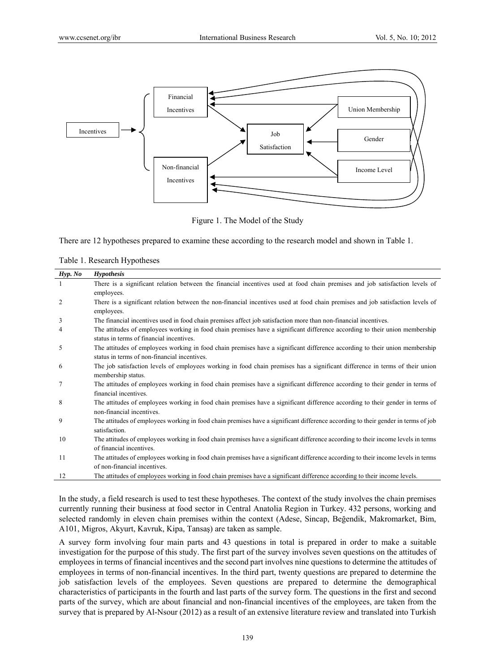

Figure 1. The Model of the Study

There are 12 hypotheses prepared to examine these according to the research model and shown in Table 1.

Table 1. Research Hypotheses

| Hyp. No | <b>Hypothesis</b>                                                                                                                                                           |
|---------|-----------------------------------------------------------------------------------------------------------------------------------------------------------------------------|
|         | There is a significant relation between the financial incentives used at food chain premises and job satisfaction levels of<br>employees.                                   |
| 2       | There is a significant relation between the non-financial incentives used at food chain premises and job satisfaction levels of<br>employees.                               |
| 3       | The financial incentives used in food chain premises affect job satisfaction more than non-financial incentives.                                                            |
| 4       | The attitudes of employees working in food chain premises have a significant difference according to their union membership<br>status in terms of financial incentives.     |
| 5       | The attitudes of employees working in food chain premises have a significant difference according to their union membership<br>status in terms of non-financial incentives. |
| 6       | The job satisfaction levels of employees working in food chain premises has a significant difference in terms of their union<br>membership status.                          |
| 7       | The attitudes of employees working in food chain premises have a significant difference according to their gender in terms of<br>financial incentives.                      |
| 8       | The attitudes of employees working in food chain premises have a significant difference according to their gender in terms of<br>non-financial incentives.                  |
| 9       | The attitudes of employees working in food chain premises have a significant difference according to their gender in terms of job<br>satisfaction.                          |
| 10      | The attitudes of employees working in food chain premises have a significant difference according to their income levels in terms<br>of financial incentives.               |
| 11      | The attitudes of employees working in food chain premises have a significant difference according to their income levels in terms<br>of non-financial incentives.           |
| 12      | The attitudes of employees working in food chain premises have a significant difference according to their income levels.                                                   |
|         |                                                                                                                                                                             |

In the study, a field research is used to test these hypotheses. The context of the study involves the chain premises currently running their business at food sector in Central Anatolia Region in Turkey. 432 persons, working and selected randomly in eleven chain premises within the context (Adese, Sincap, Beğendik, Makromarket, Bim, A101, Migros, Akyurt, Kavruk, Kipa, Tansaş) are taken as sample.

A survey form involving four main parts and 43 questions in total is prepared in order to make a suitable investigation for the purpose of this study. The first part of the survey involves seven questions on the attitudes of employees in terms of financial incentives and the second part involves nine questions to determine the attitudes of employees in terms of non-financial incentives. In the third part, twenty questions are prepared to determine the job satisfaction levels of the employees. Seven questions are prepared to determine the demographical characteristics of participants in the fourth and last parts of the survey form. The questions in the first and second parts of the survey, which are about financial and non-financial incentives of the employees, are taken from the survey that is prepared by Al-Nsour (2012) as a result of an extensive literature review and translated into Turkish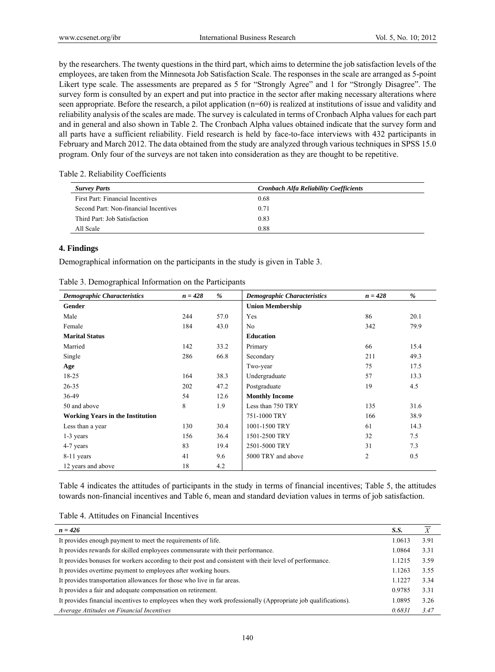by the researchers. The twenty questions in the third part, which aims to determine the job satisfaction levels of the employees, are taken from the Minnesota Job Satisfaction Scale. The responses in the scale are arranged as 5-point Likert type scale. The assessments are prepared as 5 for "Strongly Agree" and 1 for "Strongly Disagree". The survey form is consulted by an expert and put into practice in the sector after making necessary alterations where seen appropriate. Before the research, a pilot application (n=60) is realized at institutions of issue and validity and reliability analysis of the scales are made. The survey is calculated in terms of Cronbach Alpha values for each part and in general and also shown in Table 2. The Cronbach Alpha values obtained indicate that the survey form and all parts have a sufficient reliability. Field research is held by face-to-face interviews with 432 participants in February and March 2012. The data obtained from the study are analyzed through various techniques in SPSS 15.0 program. Only four of the surveys are not taken into consideration as they are thought to be repetitive.

| Table 2. Reliability Coefficients |  |
|-----------------------------------|--|
|-----------------------------------|--|

| <b>Survey Parts</b>                   | <b>Cronbach Alfa Reliability Coefficients</b> |
|---------------------------------------|-----------------------------------------------|
| First Part: Financial Incentives      | 0.68                                          |
| Second Part: Non-financial Incentives | 0.71                                          |
| Third Part: Job Satisfaction          | 0.83                                          |
| All Scale                             | 0.88                                          |

#### **4. Findings**

Demographical information on the participants in the study is given in Table 3.

| Table 3. Demographical Information on the Participants |  |  |
|--------------------------------------------------------|--|--|
|--------------------------------------------------------|--|--|

| <b>Demographic Characteristics</b>      | $n = 428$ | %    | <b>Demographic Characteristics</b> | $n = 428$      | %    |
|-----------------------------------------|-----------|------|------------------------------------|----------------|------|
| Gender                                  |           |      | <b>Union Membership</b>            |                |      |
| Male                                    | 244       | 57.0 | Yes                                | 86             | 20.1 |
| Female                                  | 184       | 43.0 | N <sub>0</sub>                     | 342            | 79.9 |
| <b>Marital Status</b>                   |           |      | <b>Education</b>                   |                |      |
| Married                                 | 142       | 33.2 | Primary                            | 66             | 15.4 |
| Single                                  | 286       | 66.8 | Secondary                          | 211            | 49.3 |
| Age                                     |           |      | Two-year                           | 75             | 17.5 |
| $18 - 25$                               | 164       | 38.3 | Undergraduate                      | 57             | 13.3 |
| $26 - 35$                               | 202       | 47.2 | Postgraduate                       | 19             | 4.5  |
| 36-49                                   | 54        | 12.6 | <b>Monthly Income</b>              |                |      |
| 50 and above                            | 8         | 1.9  | Less than 750 TRY                  | 135            | 31.6 |
| <b>Working Years in the Institution</b> |           |      | 751-1000 TRY                       | 166            | 38.9 |
| Less than a year                        | 130       | 30.4 | 1001-1500 TRY                      | 61             | 14.3 |
| 1-3 years                               | 156       | 36.4 | 1501-2500 TRY                      | 32             | 7.5  |
| 4-7 years                               | 83        | 19.4 | 2501-5000 TRY                      | 31             | 7.3  |
| 8-11 years                              | 41        | 9.6  | 5000 TRY and above                 | $\overline{2}$ | 0.5  |
| 12 years and above                      | 18        | 4.2  |                                    |                |      |

Table 4 indicates the attitudes of participants in the study in terms of financial incentives; Table 5, the attitudes towards non-financial incentives and Table 6, mean and standard deviation values in terms of job satisfaction.

| Table 4. Attitudes on Financial Incentives |  |  |  |  |  |
|--------------------------------------------|--|--|--|--|--|
|--------------------------------------------|--|--|--|--|--|

| $n = 426$                                                                                                     | S.S.   |      |
|---------------------------------------------------------------------------------------------------------------|--------|------|
| It provides enough payment to meet the requirements of life.                                                  | 1.0613 | 3.91 |
| It provides rewards for skilled employees commensurate with their performance.                                | 1.0864 | 3.31 |
| It provides bonuses for workers according to their post and consistent with their level of performance.       | 1.1215 | 3.59 |
| It provides overtime payment to employees after working hours.                                                | 1.1263 | 3.55 |
| It provides transportation allowances for those who live in far areas.                                        | 1.1227 | 3.34 |
| It provides a fair and adequate compensation on retirement.                                                   | 0.9785 | 3.31 |
| It provides financial incentives to employees when they work professionally (Appropriate job qualifications). | 1.0895 | 3.26 |
| Average Attitudes on Financial Incentives                                                                     | 0.6831 | 3.47 |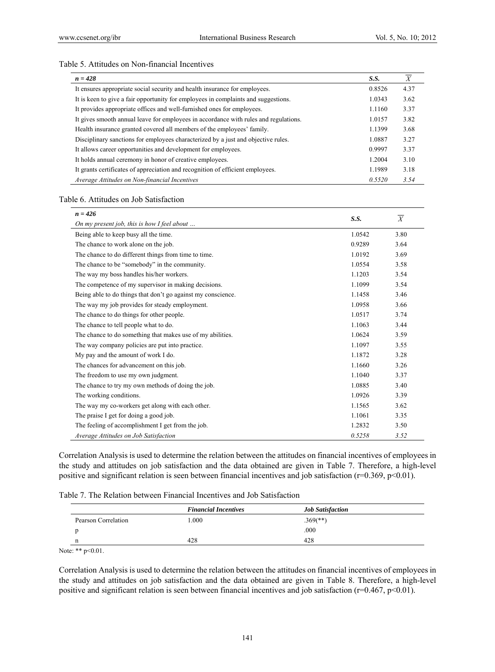#### Table 5. Attitudes on Non-financial Incentives

| $n = 428$                                                                            | S.S.   | X    |
|--------------------------------------------------------------------------------------|--------|------|
| It ensures appropriate social security and health insurance for employees.           | 0.8526 | 4.37 |
| It is keen to give a fair opportunity for employees in complaints and suggestions.   | 1.0343 | 3.62 |
| It provides appropriate offices and well-furnished ones for employees.               | 1.1160 | 3.37 |
| It gives smooth annual leave for employees in accordance with rules and regulations. | 1.0157 | 3.82 |
| Health insurance granted covered all members of the employees' family.               | 1.1399 | 3.68 |
| Disciplinary sanctions for employees characterized by a just and objective rules.    | 1.0887 | 3.27 |
| It allows career opportunities and development for employees.                        | 0.9997 | 3.37 |
| It holds annual ceremony in honor of creative employees.                             | 1.2004 | 3.10 |
| It grants certificates of appreciation and recognition of efficient employees.       | 1.1989 | 3.18 |
| Average Attitudes on Non-financial Incentives                                        | 0.5520 | 3.54 |

#### Table 6. Attitudes on Job Satisfaction

| $n = 426$                                                    |        |                |
|--------------------------------------------------------------|--------|----------------|
| On my present job, this is how I feel about                  | S.S.   | $\overline{X}$ |
| Being able to keep busy all the time.                        | 1.0542 | 3.80           |
| The chance to work alone on the job.                         | 0.9289 | 3.64           |
| The chance to do different things from time to time.         | 1.0192 | 3.69           |
| The chance to be "somebody" in the community.                | 1.0554 | 3.58           |
| The way my boss handles his/her workers.                     | 1.1203 | 3.54           |
| The competence of my supervisor in making decisions.         | 1.1099 | 3.54           |
| Being able to do things that don't go against my conscience. | 1.1458 | 3.46           |
| The way my job provides for steady employment.               | 1.0958 | 3.66           |
| The chance to do things for other people.                    | 1.0517 | 3.74           |
| The chance to tell people what to do.                        | 1.1063 | 3.44           |
| The chance to do something that makes use of my abilities.   | 1.0624 | 3.59           |
| The way company policies are put into practice.              | 1.1097 | 3.55           |
| My pay and the amount of work I do.                          | 1.1872 | 3.28           |
| The chances for advancement on this job.                     | 1.1660 | 3.26           |
| The freedom to use my own judgment.                          | 1.1040 | 3.37           |
| The chance to try my own methods of doing the job.           | 1.0885 | 3.40           |
| The working conditions.                                      | 1.0926 | 3.39           |
| The way my co-workers get along with each other.             | 1.1565 | 3.62           |
| The praise I get for doing a good job.                       | 1.1061 | 3.35           |
| The feeling of accomplishment I get from the job.            | 1.2832 | 3.50           |
| Average Attitudes on Job Satisfaction                        | 0.5258 | 3.52           |

Correlation Analysis is used to determine the relation between the attitudes on financial incentives of employees in the study and attitudes on job satisfaction and the data obtained are given in Table 7. Therefore, a high-level positive and significant relation is seen between financial incentives and job satisfaction (r=0.369, p<0.01).

| Table 7. The Relation between Financial Incentives and Job Satisfaction |
|-------------------------------------------------------------------------|
|-------------------------------------------------------------------------|

|                     | <b>Financial Incentives</b> | <b>Job Satisfaction</b>  |  |
|---------------------|-----------------------------|--------------------------|--|
| Pearson Correlation | .000                        | $.369$ <sup>(**)</sup> ) |  |
|                     |                             | .000                     |  |
|                     | 428                         | 428                      |  |

Note: \*\* p<0.01.

Correlation Analysis is used to determine the relation between the attitudes on financial incentives of employees in the study and attitudes on job satisfaction and the data obtained are given in Table 8. Therefore, a high-level positive and significant relation is seen between financial incentives and job satisfaction (r=0.467, p<0.01).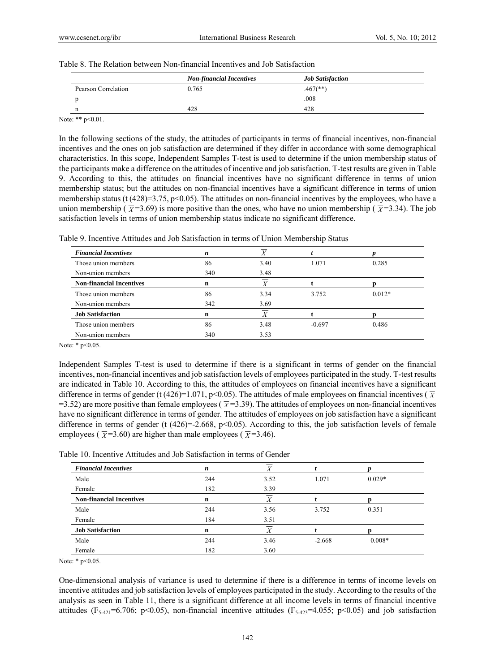| Table 8. The Relation between Non-financial Incentives and Job Satisfaction |
|-----------------------------------------------------------------------------|
|-----------------------------------------------------------------------------|

|                     | <b>Non-financial Incentives</b> | <b>Job Satisfaction</b> |  |
|---------------------|---------------------------------|-------------------------|--|
| Pearson Correlation | 0.765                           | $.467$ <sup>**</sup> )  |  |
|                     |                                 | .008                    |  |
|                     | 428                             | 428                     |  |
| $Y = 0.44$ $0.44$   |                                 |                         |  |

Note: \*\*  $p<0.01$ .

In the following sections of the study, the attitudes of participants in terms of financial incentives, non-financial incentives and the ones on job satisfaction are determined if they differ in accordance with some demographical characteristics. In this scope, Independent Samples T-test is used to determine if the union membership status of the participants make a difference on the attitudes of incentive and job satisfaction. T-test results are given in Table 9. According to this, the attitudes on financial incentives have no significant difference in terms of union membership status; but the attitudes on non-financial incentives have a significant difference in terms of union membership status (t  $(428)=3.75$ , p<0.05). The attitudes on non-financial incentives by the employees, who have a union membership ( $\bar{x}$ =3.69) is more positive than the ones, who have no union membership ( $\bar{x}$ =3.34). The job satisfaction levels in terms of union membership status indicate no significant difference.

| <b>Financial Incentives</b>     | n   |      |          |          |
|---------------------------------|-----|------|----------|----------|
| Those union members             | 86  | 3.40 | 1.071    | 0.285    |
| Non-union members               | 340 | 3.48 |          |          |
| <b>Non-financial Incentives</b> | n   | X    |          |          |
| Those union members             | 86  | 3.34 | 3.752    | $0.012*$ |
| Non-union members               | 342 | 3.69 |          |          |
| <b>Job Satisfaction</b>         | n   |      |          |          |
| Those union members             | 86  | 3.48 | $-0.697$ | 0.486    |
| Non-union members               | 340 | 3.53 |          |          |

Table 9. Incentive Attitudes and Job Satisfaction in terms of Union Membership Status

Note: \* p<0.05.

Independent Samples T-test is used to determine if there is a significant in terms of gender on the financial incentives, non-financial incentives and job satisfaction levels of employees participated in the study. T-test results are indicated in Table 10. According to this, the attitudes of employees on financial incentives have a significant difference in terms of gender (t (426)=1.071, p<0.05). The attitudes of male employees on financial incentives ( $\bar{x}$  $=$  3.52) are more positive than female employees ( $\bar{x}$ = 3.39). The attitudes of employees on non-financial incentives have no significant difference in terms of gender. The attitudes of employees on job satisfaction have a significant difference in terms of gender (t  $(426)=2.668$ ,  $p<0.05$ ). According to this, the job satisfaction levels of female employees ( $\overline{\chi}$ =3.60) are higher than male employees ( $\overline{\chi}$ =3.46).

Table 10. Incentive Attitudes and Job Satisfaction in terms of Gender

| <b>Financial Incentives</b>     | n   | Λ                |          |          |  |
|---------------------------------|-----|------------------|----------|----------|--|
| Male                            | 244 | 3.52             | 1.071    | $0.029*$ |  |
| Female                          | 182 | 3.39             |          |          |  |
| <b>Non-financial Incentives</b> | n   | $\boldsymbol{X}$ |          |          |  |
| Male                            | 244 | 3.56             | 3.752    | 0.351    |  |
| Female                          | 184 | 3.51             |          |          |  |
| <b>Job Satisfaction</b>         | n   | Х                |          |          |  |
| Male                            | 244 | 3.46             | $-2.668$ | $0.008*$ |  |
| Female                          | 182 | 3.60             |          |          |  |

Note: \* p<0.05.

One-dimensional analysis of variance is used to determine if there is a difference in terms of income levels on incentive attitudes and job satisfaction levels of employees participated in the study. According to the results of the analysis as seen in Table 11, there is a significant difference at all income levels in terms of financial incentive attitudes ( $F_{5-421}=6.706$ ; p<0.05), non-financial incentive attitudes ( $F_{5-423}=4.055$ ; p<0.05) and job satisfaction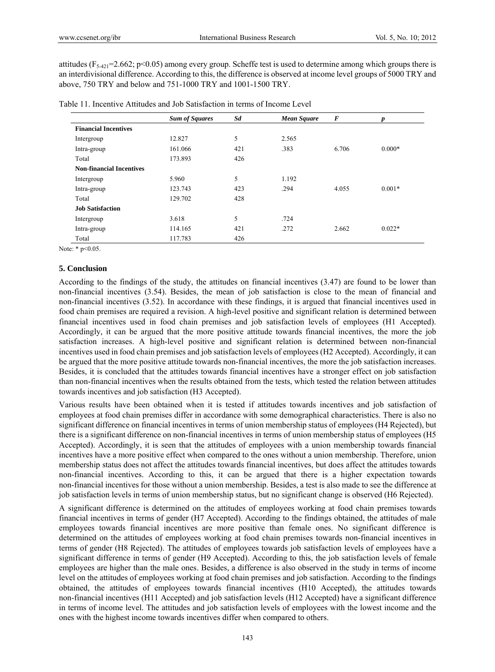attitudes ( $F_{5-421}=2.662$ ; p<0.05) among every group. Scheffe test is used to determine among which groups there is an interdivisional difference. According to this, the difference is observed at income level groups of 5000 TRY and above, 750 TRY and below and 751-1000 TRY and 1001-1500 TRY.

|                                 | <b>Sum of Squares</b> | Sd  | Mean Square | $\boldsymbol{F}$ | p        |
|---------------------------------|-----------------------|-----|-------------|------------------|----------|
| <b>Financial Incentives</b>     |                       |     |             |                  |          |
| Intergroup                      | 12.827                | 5   | 2.565       |                  |          |
| Intra-group                     | 161.066               | 421 | .383        | 6.706            | $0.000*$ |
| Total                           | 173.893               | 426 |             |                  |          |
| <b>Non-financial Incentives</b> |                       |     |             |                  |          |
| Intergroup                      | 5.960                 | 5   | 1.192       |                  |          |
| Intra-group                     | 123.743               | 423 | .294        | 4.055            | $0.001*$ |
| Total                           | 129.702               | 428 |             |                  |          |
| <b>Job Satisfaction</b>         |                       |     |             |                  |          |
| Intergroup                      | 3.618                 | 5   | .724        |                  |          |
| Intra-group                     | 114.165               | 421 | .272        | 2.662            | $0.022*$ |
| Total                           | 117.783               | 426 |             |                  |          |

Table 11. Incentive Attitudes and Job Satisfaction in terms of Income Level

Note: \* p<0.05.

## **5. Conclusion**

According to the findings of the study, the attitudes on financial incentives (3.47) are found to be lower than non-financial incentives (3.54). Besides, the mean of job satisfaction is close to the mean of financial and non-financial incentives (3.52). In accordance with these findings, it is argued that financial incentives used in food chain premises are required a revision. A high-level positive and significant relation is determined between financial incentives used in food chain premises and job satisfaction levels of employees (H1 Accepted). Accordingly, it can be argued that the more positive attitude towards financial incentives, the more the job satisfaction increases. A high-level positive and significant relation is determined between non-financial incentives used in food chain premises and job satisfaction levels of employees (H2 Accepted). Accordingly, it can be argued that the more positive attitude towards non-financial incentives, the more the job satisfaction increases. Besides, it is concluded that the attitudes towards financial incentives have a stronger effect on job satisfaction than non-financial incentives when the results obtained from the tests, which tested the relation between attitudes towards incentives and job satisfaction (H3 Accepted).

Various results have been obtained when it is tested if attitudes towards incentives and job satisfaction of employees at food chain premises differ in accordance with some demographical characteristics. There is also no significant difference on financial incentives in terms of union membership status of employees (H4 Rejected), but there is a significant difference on non-financial incentives in terms of union membership status of employees (H5 Accepted). Accordingly, it is seen that the attitudes of employees with a union membership towards financial incentives have a more positive effect when compared to the ones without a union membership. Therefore, union membership status does not affect the attitudes towards financial incentives, but does affect the attitudes towards non-financial incentives. According to this, it can be argued that there is a higher expectation towards non-financial incentives for those without a union membership. Besides, a test is also made to see the difference at job satisfaction levels in terms of union membership status, but no significant change is observed (H6 Rejected).

A significant difference is determined on the attitudes of employees working at food chain premises towards financial incentives in terms of gender (H7 Accepted). According to the findings obtained, the attitudes of male employees towards financial incentives are more positive than female ones. No significant difference is determined on the attitudes of employees working at food chain premises towards non-financial incentives in terms of gender (H8 Rejected). The attitudes of employees towards job satisfaction levels of employees have a significant difference in terms of gender (H9 Accepted). According to this, the job satisfaction levels of female employees are higher than the male ones. Besides, a difference is also observed in the study in terms of income level on the attitudes of employees working at food chain premises and job satisfaction. According to the findings obtained, the attitudes of employees towards financial incentives (H10 Accepted), the attitudes towards non-financial incentives (H11 Accepted) and job satisfaction levels (H12 Accepted) have a significant difference in terms of income level. The attitudes and job satisfaction levels of employees with the lowest income and the ones with the highest income towards incentives differ when compared to others.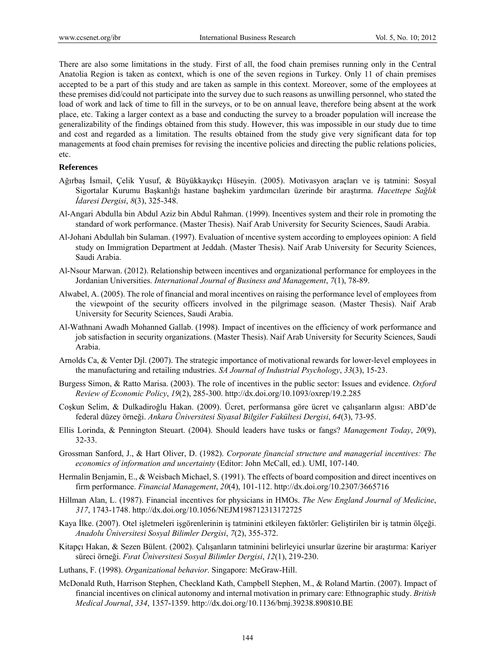There are also some limitations in the study. First of all, the food chain premises running only in the Central Anatolia Region is taken as context, which is one of the seven regions in Turkey. Only 11 of chain premises accepted to be a part of this study and are taken as sample in this context. Moreover, some of the employees at these premises did/could not participate into the survey due to such reasons as unwilling personnel, who stated the load of work and lack of time to fill in the surveys, or to be on annual leave, therefore being absent at the work place, etc. Taking a larger context as a base and conducting the survey to a broader population will increase the generalizability of the findings obtained from this study. However, this was impossible in our study due to time and cost and regarded as a limitation. The results obtained from the study give very significant data for top managements at food chain premises for revising the incentive policies and directing the public relations policies, etc.

#### **References**

- Ağırbaş İsmail, Çelik Yusuf, & Büyükkayıkçı Hüseyin. (2005). Motivasyon araçları ve iş tatmini: Sosyal Sigortalar Kurumu Başkanlığı hastane başhekim yardımcıları üzerinde bir araştırma. *Hacettepe Sağlık İdaresi Dergisi*, *8*(3), 325-348.
- Al-Angari Abdulla bin Abdul Aziz bin Abdul Rahman. (1999). Incentives system and their role in promoting the standard of work performance. (Master Thesis). Naif Arab University for Security Sciences, Saudi Arabia.
- Al-Johani Abdullah bin Sulaman. (1997). Evaluation of ıncentive system according to employees opinion: A field study on Immigration Department at Jeddah. (Master Thesis). Naif Arab University for Security Sciences, Saudi Arabia.
- Al-Nsour Marwan. (2012). Relationship between incentives and organizational performance for employees in the Jordanian Universities. *International Journal of Business and Management*, *7*(1), 78-89.
- Alwabel, A. (2005). The role of financial and moral incentives on raising the performance level of employees from the viewpoint of the security officers involved in the pilgrimage season. (Master Thesis). Naif Arab University for Security Sciences, Saudi Arabia.
- Al-Wathnani Awadh Mohanned Gallab. (1998). Impact of incentives on the efficiency of work performance and job satisfaction in security organizations. (Master Thesis). Naif Arab University for Security Sciences, Saudi Arabia.
- Arnolds Ca, & Venter Djl. (2007). The strategic importance of motivational rewards for lower-level employees in the manufacturing and retailing ındustries. *SA Journal of Industrial Psychology*, *33*(3), 15-23.
- Burgess Simon, & Ratto Marisa. (2003). The role of incentives in the public sector: Issues and evidence. *Oxford Review of Economic Policy*, *19*(2), 285-300. http://dx.doi.org/10.1093/oxrep/19.2.285
- Coşkun Selim, & Dulkadiroğlu Hakan. (2009). Ücret, performansa göre ücret ve çalışanların algısı: ABD'de federal düzey örneği. *Ankara Üniversitesi Siyasal Bilgiler Fakültesi Dergisi*, *64*(3), 73-95.
- Ellis Lorinda, & Pennington Steuart. (2004). Should leaders have tusks or fangs? *Management Today*, *20*(9), 32-33.
- Grossman Sanford, J., & Hart Oliver, D. (1982). *Corporate financial structure and managerial incentives: The economics of information and uncertainty* (Editor: John McCall, ed.). UMI, 107-140.
- Hermalin Benjamin, E., & Weisbach Michael, S. (1991). The effects of board composition and direct incentives on firm performance. *Financial Management*, *20*(4), 101-112. http://dx.doi.org/10.2307/3665716
- Hillman Alan, L. (1987). Financial incentives for physicians in HMOs. *The New England Journal of Medicine*, *317*, 1743-1748. http://dx.doi.org/10.1056/NEJM198712313172725
- Kaya İlke. (2007). Otel işletmeleri işgörenlerinin iş tatminini etkileyen faktörler: Geliştirilen bir iş tatmin ölçeği. *Anadolu Üniversitesi Sosyal Bilimler Dergisi*, *7*(2), 355-372.
- Kitapçı Hakan, & Sezen Bülent. (2002). Çalışanların tatminini belirleyici unsurlar üzerine bir araştırma: Kariyer süreci örneği. *Fırat Üniversitesi Sosyal Bilimler Dergisi*, *12*(1), 219-230.
- Luthans, F. (1998). *Organizational behavior*. Singapore: McGraw-Hill.
- McDonald Ruth, Harrison Stephen, Checkland Kath, Campbell Stephen, M., & Roland Martin. (2007). Impact of financial incentives on clinical autonomy and internal motivation in primary care: Ethnographic study. *British Medical Journal*, *334*, 1357-1359. http://dx.doi.org/10.1136/bmj.39238.890810.BE